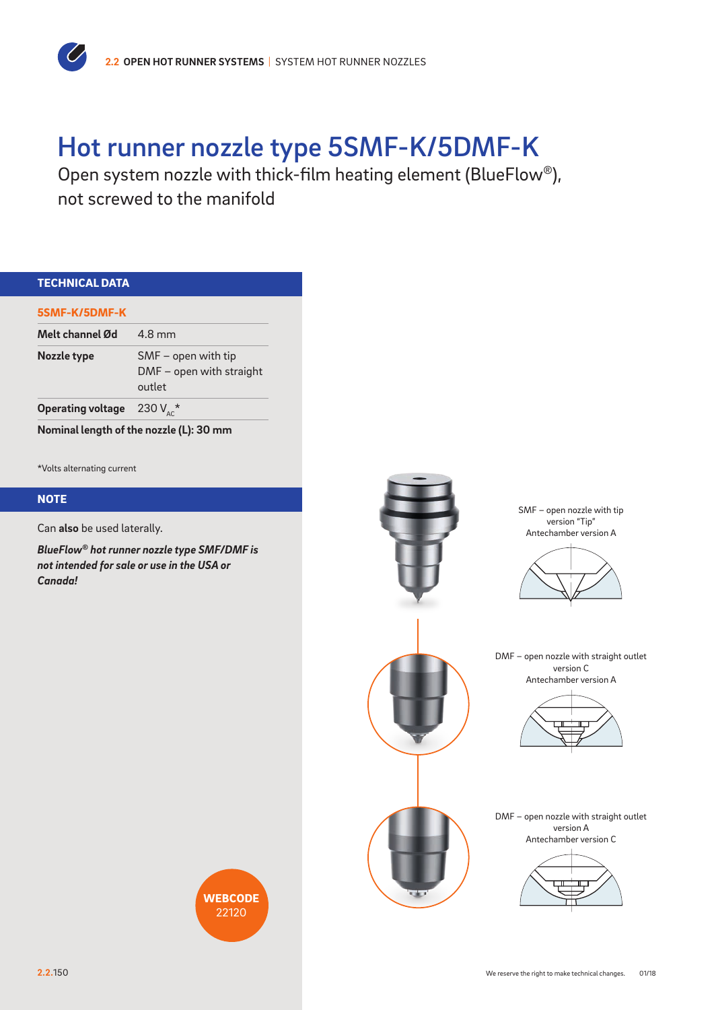

## Hot runner nozzle type 5SMF-K/5DMF-K

Open system nozzle with thick-film heating element (BlueFlow®), not screwed to the manifold

| <b>TECHNICAL DATA</b>                                                                                |                                                           |  |
|------------------------------------------------------------------------------------------------------|-----------------------------------------------------------|--|
| 5SMF-K/5DMF-K                                                                                        |                                                           |  |
| Melt channel Ød                                                                                      | 4.8 mm                                                    |  |
| Nozzle type                                                                                          | SMF - open with tip<br>DMF - open with straight<br>outlet |  |
| <b>Operating voltage</b>                                                                             | 230 $V_{AC}^{\star}$                                      |  |
| Nominal length of the nozzle (L): 30 mm                                                              |                                                           |  |
|                                                                                                      |                                                           |  |
| *Volts alternating current                                                                           |                                                           |  |
| <b>NOTE</b>                                                                                          |                                                           |  |
| Can also be used laterally.                                                                          |                                                           |  |
| BlueFlow® hot runner nozzle type SMF/DMF is<br>not intended for sale or use in the USA or<br>Canada! |                                                           |  |
|                                                                                                      |                                                           |  |
|                                                                                                      | <b>WEBCODE</b><br>22120                                   |  |